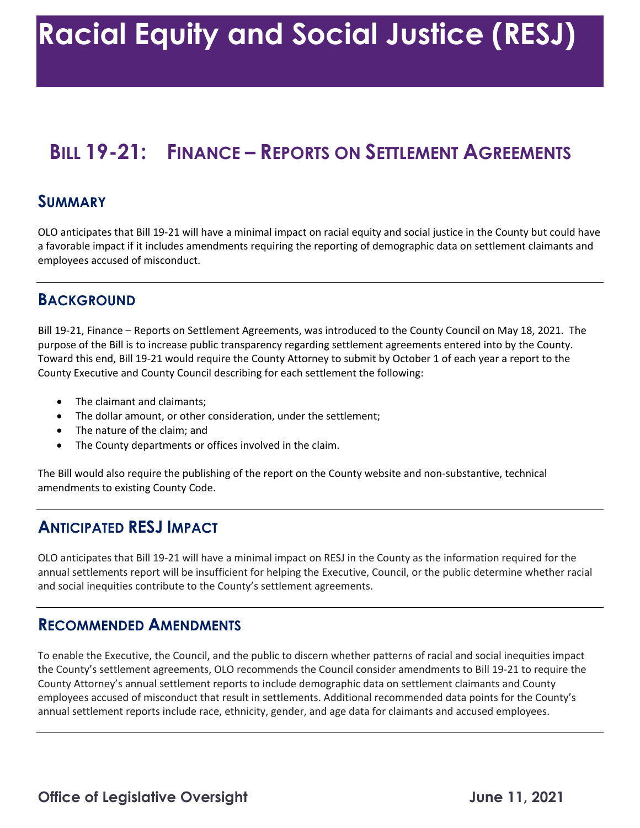# **BILL 19-21: FINANCE – REPORTS ON SETTLEMENT AGREEMENTS SUMMARY**

 OLO anticipates that Bill 19-21 will have a minimal impact on racial equity and social justice in the County but could have a favorable impact if it includes amendments requiring the reporting of demographic data on settlement claimants and employees accused of misconduct.

#### **BACKGROUND**

 Bill 19-21, Finance – Reports on Settlement Agreements, was introduced to the County Council on May 18, 2021. The purpose of the Bill is to increase public transparency regarding settlement agreements entered into by the County. County Executive and County Council describing for each settlement the following: Toward this end, Bill 19-21 would require the County Attorney to submit by October 1 of each year a report to the

- The claimant and claimants;
- The dollar amount, or other consideration, under the settlement;
- The nature of the claim; and
- The County departments or offices involved in the claim.

 The Bill would also require the publishing of the report on the County website and non-substantive, technical amendments to existing County Code.

#### **ANTICIPATED RESJ IMPACT**

 OLO anticipates that Bill 19-21 will have a minimal impact on RESJ in the County as the information required for the annual settlements report will be insufficient for helping the Executive, Council, or the public determine whether racial and social inequities contribute to the County's settlement agreements.

#### **RECOMMENDED AMENDMENTS**

 To enable the Executive, the Council, and the public to discern whether patterns of racial and social inequities impact the County's settlement agreements, OLO recommends the Council consider amendments to Bill 19-21 to require the employees accused of misconduct that result in settlements. Additional recommended data points for the County's County Attorney's annual settlement reports to include demographic data on settlement claimants and County annual settlement reports include race, ethnicity, gender, and age data for claimants and accused employees.